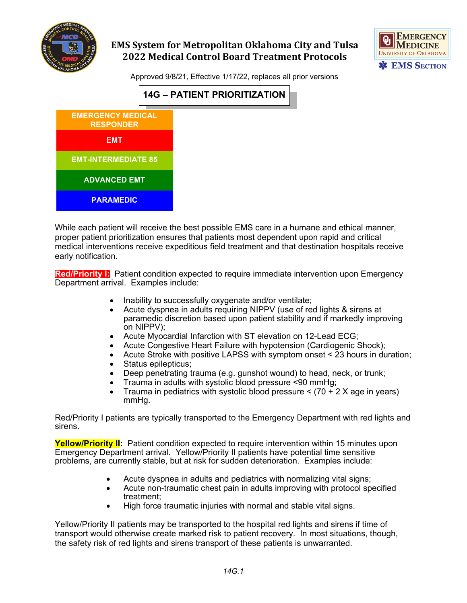



Approved 9/8/21, Effective 1/17/22, replaces all prior versions



While each patient will receive the best possible EMS care in a humane and ethical manner, proper patient prioritization ensures that patients most dependent upon rapid and critical medical interventions receive expeditious field treatment and that destination hospitals receive early notification.

**Red/Priority I:** Patient condition expected to require immediate intervention upon Emergency Department arrival. Examples include:

- Inability to successfully oxygenate and/or ventilate;
- Acute dyspnea in adults requiring NIPPV (use of red lights & sirens at paramedic discretion based upon patient stability and if markedly improving on NIPPV);
- Acute Myocardial Infarction with ST elevation on 12-Lead ECG;
- Acute Congestive Heart Failure with hypotension (Cardiogenic Shock);
- Acute Stroke with positive LAPSS with symptom onset < 23 hours in duration;
- Status epilepticus;
- Deep penetrating trauma (e.g. gunshot wound) to head, neck, or trunk;
- Trauma in adults with systolic blood pressure <90 mmHg;
- Trauma in pediatrics with systolic blood pressure  $\leq$  (70 + 2 X age in years) mmHg.

Red/Priority I patients are typically transported to the Emergency Department with red lights and sirens.

**Yellow/Priority II:** Patient condition expected to require intervention within 15 minutes upon Emergency Department arrival. Yellow/Priority II patients have potential time sensitive problems, are currently stable, but at risk for sudden deterioration. Examples include:

- Acute dyspnea in adults and pediatrics with normalizing vital signs;
- Acute non-traumatic chest pain in adults improving with protocol specified treatment;
- High force traumatic injuries with normal and stable vital signs.

Yellow/Priority II patients may be transported to the hospital red lights and sirens if time of transport would otherwise create marked risk to patient recovery. In most situations, though, the safety risk of red lights and sirens transport of these patients is unwarranted.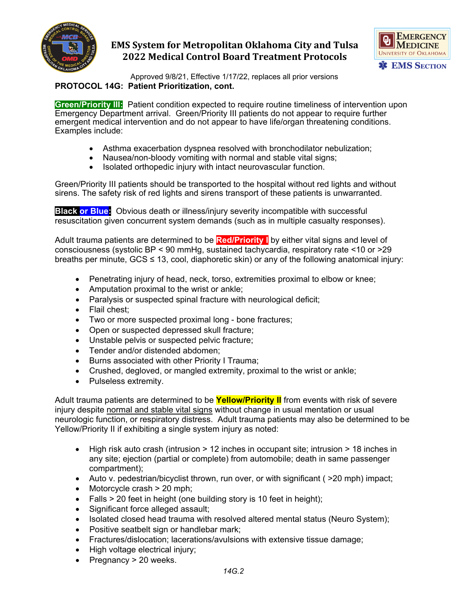



Approved 9/8/21, Effective 1/17/22, replaces all prior versions **PROTOCOL 14G: Patient Prioritization, cont.**

**Green/Priority III:** Patient condition expected to require routine timeliness of intervention upon Emergency Department arrival. Green/Priority III patients do not appear to require further emergent medical intervention and do not appear to have life/organ threatening conditions. Examples include:

- Asthma exacerbation dyspnea resolved with bronchodilator nebulization;
- Nausea/non-bloody vomiting with normal and stable vital signs;
- Isolated orthopedic injury with intact neurovascular function.

Green/Priority III patients should be transported to the hospital without red lights and without sirens. The safety risk of red lights and sirens transport of these patients is unwarranted.

**Black or Blue:** Obvious death or illness/injury severity incompatible with successful resuscitation given concurrent system demands (such as in multiple casualty responses).

Adult trauma patients are determined to be **Red/Priority I** by either vital signs and level of consciousness (systolic BP < 90 mmHg, sustained tachycardia, respiratory rate <10 or >29 breaths per minute,  $GCS \leq 13$ , cool, diaphoretic skin) or any of the following anatomical injury:

- Penetrating injury of head, neck, torso, extremities proximal to elbow or knee;
- Amputation proximal to the wrist or ankle;
- Paralysis or suspected spinal fracture with neurological deficit;
- Flail chest;
- Two or more suspected proximal long bone fractures;
- Open or suspected depressed skull fracture;
- Unstable pelvis or suspected pelvic fracture;
- Tender and/or distended abdomen;
- Burns associated with other Priority I Trauma;
- Crushed, degloved, or mangled extremity, proximal to the wrist or ankle;
- Pulseless extremity.

Adult trauma patients are determined to be **Yellow/Priority II** from events with risk of severe injury despite normal and stable vital signs without change in usual mentation or usual neurologic function, or respiratory distress. Adult trauma patients may also be determined to be Yellow/Priority II if exhibiting a single system injury as noted:

- High risk auto crash (intrusion > 12 inches in occupant site; intrusion > 18 inches in any site; ejection (partial or complete) from automobile; death in same passenger compartment);
- Auto v. pedestrian/bicyclist thrown, run over, or with significant ( $>20$  mph) impact;
- Motorcycle crash > 20 mph;
- Falls  $>$  20 feet in height (one building story is 10 feet in height);
- Significant force alleged assault;
- Isolated closed head trauma with resolved altered mental status (Neuro System);
- Positive seatbelt sign or handlebar mark;
- Fractures/dislocation; lacerations/avulsions with extensive tissue damage;
- High voltage electrical injury;
- Pregnancy > 20 weeks.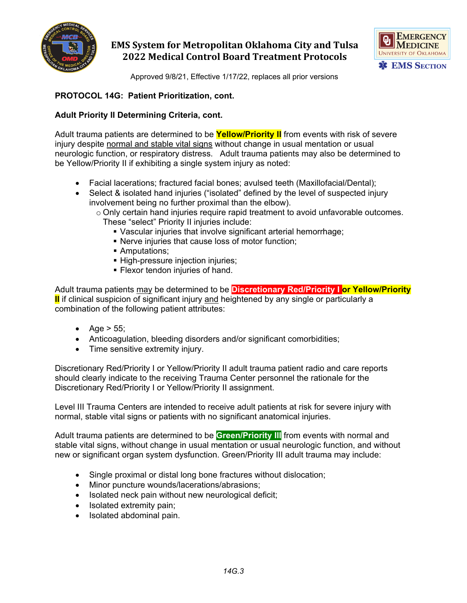



Approved 9/8/21, Effective 1/17/22, replaces all prior versions

## **PROTOCOL 14G: Patient Prioritization, cont.**

## **Adult Priority II Determining Criteria, cont.**

Adult trauma patients are determined to be **Yellow/Priority II** from events with risk of severe injury despite normal and stable vital signs without change in usual mentation or usual neurologic function, or respiratory distress. Adult trauma patients may also be determined to be Yellow/Priority II if exhibiting a single system injury as noted:

- Facial lacerations; fractured facial bones; avulsed teeth (Maxillofacial/Dental);
- Select & isolated hand injuries ("isolated" defined by the level of suspected injury involvement being no further proximal than the elbow).
	- $\circ$  Only certain hand injuries require rapid treatment to avoid unfavorable outcomes. These "select" Priority II injuries include:
		-
		- Vascular injuries that involve significant arterial hemorrhage;
		- Nerve injuries that cause loss of motor function;
		- **Amputations;**
		- **High-pressure injection injuries;**
		- **Flexor tendon injuries of hand.**

Adult trauma patients may be determined to be **Discretionary Red/Priority I or Yellow/Priority II** if clinical suspicion of significant injury and heightened by any single or particularly a combination of the following patient attributes:

- Age  $> 55$ ;
- Anticoagulation, bleeding disorders and/or significant comorbidities;
- Time sensitive extremity injury.

Discretionary Red/Priority I or Yellow/Priority II adult trauma patient radio and care reports should clearly indicate to the receiving Trauma Center personnel the rationale for the Discretionary Red/Priority I or Yellow/Priority II assignment.

Level III Trauma Centers are intended to receive adult patients at risk for severe injury with normal, stable vital signs or patients with no significant anatomical injuries.

Adult trauma patients are determined to be **Green/Priority III** from events with normal and stable vital signs, without change in usual mentation or usual neurologic function, and without new or significant organ system dysfunction. Green/Priority III adult trauma may include:

- Single proximal or distal long bone fractures without dislocation;
- Minor puncture wounds/lacerations/abrasions;
- Isolated neck pain without new neurological deficit;
- Isolated extremity pain;
- Isolated abdominal pain.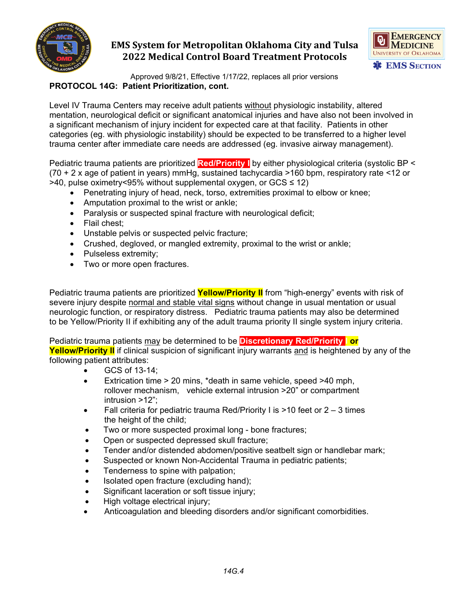



Approved 9/8/21, Effective 1/17/22, replaces all prior versions **PROTOCOL 14G: Patient Prioritization, cont.**

Level IV Trauma Centers may receive adult patients without physiologic instability, altered mentation, neurological deficit or significant anatomical injuries and have also not been involved in a significant mechanism of injury incident for expected care at that facility. Patients in other categories (eg. with physiologic instability) should be expected to be transferred to a higher level trauma center after immediate care needs are addressed (eg. invasive airway management).

Pediatric trauma patients are prioritized **Red/Priority I** by either physiological criteria (systolic BP < (70 + 2 x age of patient in years) mmHg, sustained tachycardia >160 bpm, respiratory rate <12 or >40, pulse oximetry<95% without supplemental oxygen, or GCS ≤ 12)

- Penetrating injury of head, neck, torso, extremities proximal to elbow or knee;
- Amputation proximal to the wrist or ankle;
- Paralysis or suspected spinal fracture with neurological deficit;
- Flail chest:
- Unstable pelvis or suspected pelvic fracture;
- Crushed, degloved, or mangled extremity, proximal to the wrist or ankle;
- Pulseless extremity;
- Two or more open fractures.

Pediatric trauma patients are prioritized **Yellow/Priority II** from "high-energy" events with risk of severe injury despite normal and stable vital signs without change in usual mentation or usual neurologic function, or respiratory distress. Pediatric trauma patients may also be determined to be Yellow/Priority II if exhibiting any of the adult trauma priority II single system injury criteria.

Pediatric trauma patients may be determined to be **Discretionary Red/Priority I or** 

**Yellow/Priority II** if clinical suspicion of significant injury warrants and is heightened by any of the following patient attributes:

- GCS of 13-14;
- Extrication time > 20 mins, \*death in same vehicle, speed >40 mph, rollover mechanism, vehicle external intrusion >20" or compartment intrusion >12";
- Fall criteria for pediatric trauma Red/Priority I is >10 feet or 2 3 times the height of the child;
- Two or more suspected proximal long bone fractures;
- Open or suspected depressed skull fracture;
- Tender and/or distended abdomen/positive seatbelt sign or handlebar mark;
- Suspected or known Non-Accidental Trauma in pediatric patients;
- Tenderness to spine with palpation;
- Isolated open fracture (excluding hand);
- Significant laceration or soft tissue injury;
- High voltage electrical injury;
- Anticoagulation and bleeding disorders and/or significant comorbidities.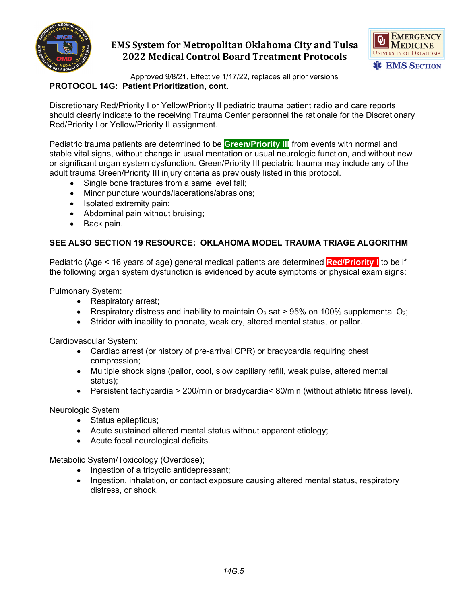



Approved 9/8/21, Effective 1/17/22, replaces all prior versions **PROTOCOL 14G: Patient Prioritization, cont.**

Discretionary Red/Priority I or Yellow/Priority II pediatric trauma patient radio and care reports should clearly indicate to the receiving Trauma Center personnel the rationale for the Discretionary Red/Priority I or Yellow/Priority II assignment.

Pediatric trauma patients are determined to be **Green/Priority III** from events with normal and stable vital signs, without change in usual mentation or usual neurologic function, and without new or significant organ system dysfunction. Green/Priority III pediatric trauma may include any of the adult trauma Green/Priority III injury criteria as previously listed in this protocol.

- Single bone fractures from a same level fall;
- Minor puncture wounds/lacerations/abrasions;
- Isolated extremity pain;
- Abdominal pain without bruising;
- Back pain.

## **SEE ALSO SECTION 19 RESOURCE: OKLAHOMA MODEL TRAUMA TRIAGE ALGORITHM**

Pediatric (Age < 16 years of age) general medical patients are determined **Red/Priority I** to be if the following organ system dysfunction is evidenced by acute symptoms or physical exam signs:

Pulmonary System:

- Respiratory arrest;
- Respiratory distress and inability to maintain  $O_2$  sat > 95% on 100% supplemental  $O_2$ ;
- Stridor with inability to phonate, weak cry, altered mental status, or pallor.

Cardiovascular System:

- Cardiac arrest (or history of pre-arrival CPR) or bradycardia requiring chest compression;
- Multiple shock signs (pallor, cool, slow capillary refill, weak pulse, altered mental status);
- Persistent tachycardia > 200/min or bradycardia< 80/min (without athletic fitness level).

Neurologic System

- Status epilepticus;
- Acute sustained altered mental status without apparent etiology;
- Acute focal neurological deficits.

Metabolic System/Toxicology (Overdose);

- Ingestion of a tricyclic antidepressant;
- Ingestion, inhalation, or contact exposure causing altered mental status, respiratory distress, or shock.